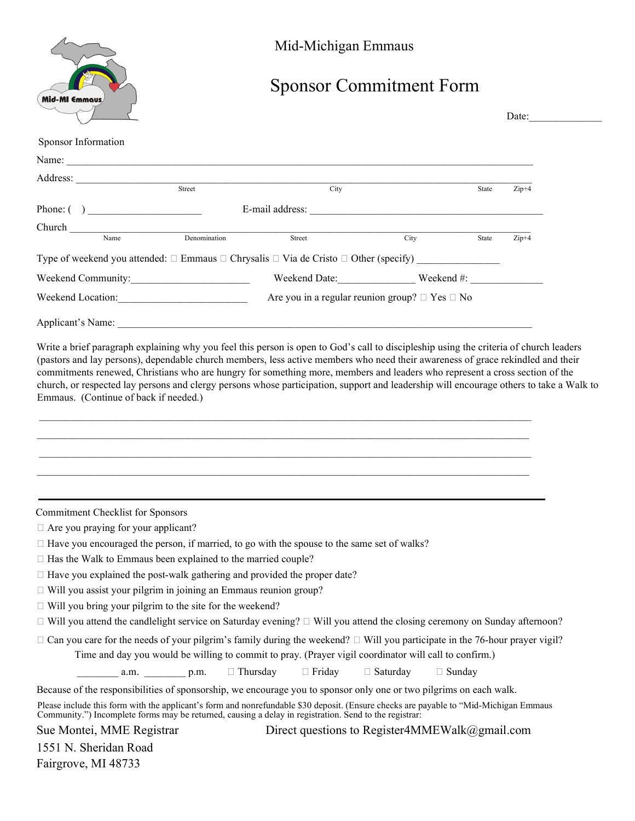

Mid-Michigan Emmaus

## Sponsor Commitment Form

| Sponsor Information<br>Name:<br>Street<br>City<br>Phone: $\begin{pmatrix} 1 & 1 \\ 1 & 1 \end{pmatrix}$<br>E-mail address:<br>$D$ enomination<br>Name<br>Street<br>City<br>Type of weekend you attended: $\Box$ Emmaus $\Box$ Chrysalis $\Box$ Via de Cristo $\Box$ Other (specify)<br>Weekend Date: Weekend #:<br>Weekend Community:<br>Are you in a regular reunion group? $\Box$ Yes $\Box$ No<br>Applicant's Name:<br>Write a brief paragraph explaining why you feel this person is open to God's call to discipleship using the criteria of church leaders<br>(pastors and lay persons), dependable church members, less active members who need their awareness of grace rekindled and their<br>commitments renewed, Christians who are hungry for something more, members and leaders who represent a cross section of the<br>church, or respected lay persons and clergy persons whose participation, support and leadership will encourage others to take a Walk to<br>Emmaus. (Continue of back if needed.)<br><b>Commitment Checklist for Sponsors</b><br>$\Box$ Are you praying for your applicant?<br>$\Box$ Have you encouraged the person, if married, to go with the spouse to the same set of walks?<br>$\Box$ Has the Walk to Emmaus been explained to the married couple?<br>$\Box$ Have you explained the post-walk gathering and provided the proper date?<br>□ Will you assist your pilgrim in joining an Emmaus reunion group? | State<br>State | $Zip+4$<br>$Zip+4$ |
|--------------------------------------------------------------------------------------------------------------------------------------------------------------------------------------------------------------------------------------------------------------------------------------------------------------------------------------------------------------------------------------------------------------------------------------------------------------------------------------------------------------------------------------------------------------------------------------------------------------------------------------------------------------------------------------------------------------------------------------------------------------------------------------------------------------------------------------------------------------------------------------------------------------------------------------------------------------------------------------------------------------------------------------------------------------------------------------------------------------------------------------------------------------------------------------------------------------------------------------------------------------------------------------------------------------------------------------------------------------------------------------------------------------------------------------------------------|----------------|--------------------|
|                                                                                                                                                                                                                                                                                                                                                                                                                                                                                                                                                                                                                                                                                                                                                                                                                                                                                                                                                                                                                                                                                                                                                                                                                                                                                                                                                                                                                                                        |                |                    |
|                                                                                                                                                                                                                                                                                                                                                                                                                                                                                                                                                                                                                                                                                                                                                                                                                                                                                                                                                                                                                                                                                                                                                                                                                                                                                                                                                                                                                                                        |                |                    |
|                                                                                                                                                                                                                                                                                                                                                                                                                                                                                                                                                                                                                                                                                                                                                                                                                                                                                                                                                                                                                                                                                                                                                                                                                                                                                                                                                                                                                                                        |                |                    |
|                                                                                                                                                                                                                                                                                                                                                                                                                                                                                                                                                                                                                                                                                                                                                                                                                                                                                                                                                                                                                                                                                                                                                                                                                                                                                                                                                                                                                                                        |                |                    |
|                                                                                                                                                                                                                                                                                                                                                                                                                                                                                                                                                                                                                                                                                                                                                                                                                                                                                                                                                                                                                                                                                                                                                                                                                                                                                                                                                                                                                                                        |                |                    |
|                                                                                                                                                                                                                                                                                                                                                                                                                                                                                                                                                                                                                                                                                                                                                                                                                                                                                                                                                                                                                                                                                                                                                                                                                                                                                                                                                                                                                                                        |                |                    |
|                                                                                                                                                                                                                                                                                                                                                                                                                                                                                                                                                                                                                                                                                                                                                                                                                                                                                                                                                                                                                                                                                                                                                                                                                                                                                                                                                                                                                                                        |                |                    |
|                                                                                                                                                                                                                                                                                                                                                                                                                                                                                                                                                                                                                                                                                                                                                                                                                                                                                                                                                                                                                                                                                                                                                                                                                                                                                                                                                                                                                                                        |                |                    |
|                                                                                                                                                                                                                                                                                                                                                                                                                                                                                                                                                                                                                                                                                                                                                                                                                                                                                                                                                                                                                                                                                                                                                                                                                                                                                                                                                                                                                                                        |                |                    |
|                                                                                                                                                                                                                                                                                                                                                                                                                                                                                                                                                                                                                                                                                                                                                                                                                                                                                                                                                                                                                                                                                                                                                                                                                                                                                                                                                                                                                                                        |                |                    |
|                                                                                                                                                                                                                                                                                                                                                                                                                                                                                                                                                                                                                                                                                                                                                                                                                                                                                                                                                                                                                                                                                                                                                                                                                                                                                                                                                                                                                                                        |                |                    |
|                                                                                                                                                                                                                                                                                                                                                                                                                                                                                                                                                                                                                                                                                                                                                                                                                                                                                                                                                                                                                                                                                                                                                                                                                                                                                                                                                                                                                                                        |                |                    |
|                                                                                                                                                                                                                                                                                                                                                                                                                                                                                                                                                                                                                                                                                                                                                                                                                                                                                                                                                                                                                                                                                                                                                                                                                                                                                                                                                                                                                                                        |                |                    |
|                                                                                                                                                                                                                                                                                                                                                                                                                                                                                                                                                                                                                                                                                                                                                                                                                                                                                                                                                                                                                                                                                                                                                                                                                                                                                                                                                                                                                                                        |                |                    |
|                                                                                                                                                                                                                                                                                                                                                                                                                                                                                                                                                                                                                                                                                                                                                                                                                                                                                                                                                                                                                                                                                                                                                                                                                                                                                                                                                                                                                                                        |                |                    |
|                                                                                                                                                                                                                                                                                                                                                                                                                                                                                                                                                                                                                                                                                                                                                                                                                                                                                                                                                                                                                                                                                                                                                                                                                                                                                                                                                                                                                                                        |                |                    |
|                                                                                                                                                                                                                                                                                                                                                                                                                                                                                                                                                                                                                                                                                                                                                                                                                                                                                                                                                                                                                                                                                                                                                                                                                                                                                                                                                                                                                                                        |                |                    |
| $\Box$ Will you bring your pilgrim to the site for the weekend?                                                                                                                                                                                                                                                                                                                                                                                                                                                                                                                                                                                                                                                                                                                                                                                                                                                                                                                                                                                                                                                                                                                                                                                                                                                                                                                                                                                        |                |                    |
| $\Box$ Will you attend the candlelight service on Saturday evening? $\Box$ Will you attend the closing ceremony on Sunday afternoon?                                                                                                                                                                                                                                                                                                                                                                                                                                                                                                                                                                                                                                                                                                                                                                                                                                                                                                                                                                                                                                                                                                                                                                                                                                                                                                                   |                |                    |
| $\Box$ Can you care for the needs of your pilgrim's family during the weekend? $\Box$ Will you participate in the 76-hour prayer vigil?                                                                                                                                                                                                                                                                                                                                                                                                                                                                                                                                                                                                                                                                                                                                                                                                                                                                                                                                                                                                                                                                                                                                                                                                                                                                                                                |                |                    |
| Time and day you would be willing to commit to pray. (Prayer vigil coordinator will call to confirm.)                                                                                                                                                                                                                                                                                                                                                                                                                                                                                                                                                                                                                                                                                                                                                                                                                                                                                                                                                                                                                                                                                                                                                                                                                                                                                                                                                  |                |                    |

Because of the responsibilities of sponsorship, we encourage you to sponsor only one or two pilgrims on each walk.

Please include this form with the applicant's form and nonrefundable \$30 deposit. (Ensure checks are payable to "Mid-Michigan Emmaus Community.") Incomplete forms may be returned, causing a delay in registration. Send to the registrar:

Sue Montei, MME Registrar Direct questions to Register4MMEWalk@gmail.com

1551 N. Sheridan Road Fairgrove, MI 48733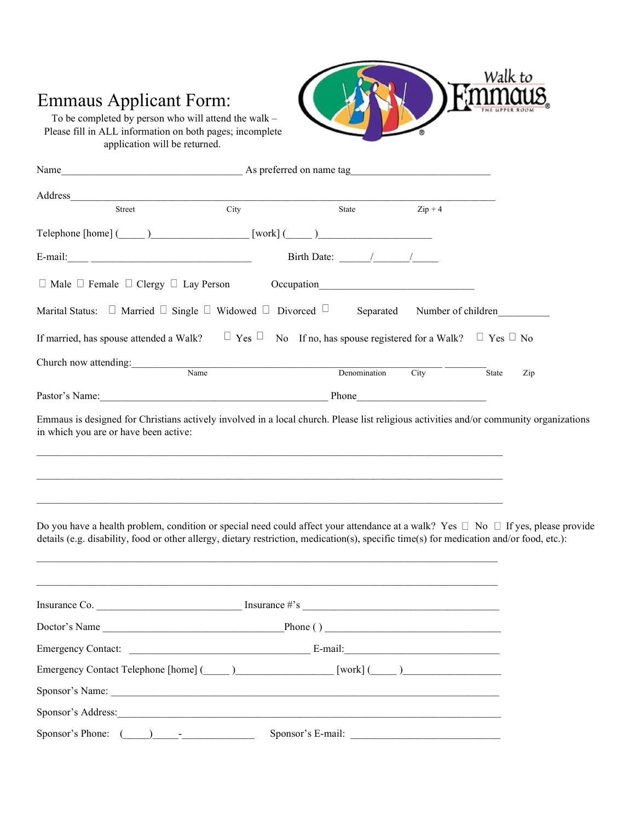## Emmaus Applicant Form:



To be completed by person who will attend the walk – Please fill in ALL information on both pages; incomplete application will be returned.

| Name<br><u> 1980 - Johann Barbara, martxa alemaniar arg</u>                                                                                                                                                                                                                                                                                                                                                          | As preferred on name tag and the state of the state of the state of the state of the state of the state of the state of the state of the state of the state of the state of the state of the state of the state of the state o       |                                                                                                                                                                                                                                                                                                                                                                                                                     |           |              |
|----------------------------------------------------------------------------------------------------------------------------------------------------------------------------------------------------------------------------------------------------------------------------------------------------------------------------------------------------------------------------------------------------------------------|--------------------------------------------------------------------------------------------------------------------------------------------------------------------------------------------------------------------------------------|---------------------------------------------------------------------------------------------------------------------------------------------------------------------------------------------------------------------------------------------------------------------------------------------------------------------------------------------------------------------------------------------------------------------|-----------|--------------|
| Address_                                                                                                                                                                                                                                                                                                                                                                                                             |                                                                                                                                                                                                                                      |                                                                                                                                                                                                                                                                                                                                                                                                                     |           |              |
| City<br>Street                                                                                                                                                                                                                                                                                                                                                                                                       |                                                                                                                                                                                                                                      | State                                                                                                                                                                                                                                                                                                                                                                                                               | $Zip + 4$ |              |
| $\text{Telephone} \left[ \text{home} \right]$ ( ) $\qquad \qquad \text{[work]}$ ( )                                                                                                                                                                                                                                                                                                                                  |                                                                                                                                                                                                                                      |                                                                                                                                                                                                                                                                                                                                                                                                                     |           |              |
|                                                                                                                                                                                                                                                                                                                                                                                                                      |                                                                                                                                                                                                                                      | Birth Date: $\frac{1}{\sqrt{1-\frac{1}{2}}}\frac{1}{\sqrt{1-\frac{1}{2}}}\frac{1}{\sqrt{1-\frac{1}{2}}}\frac{1}{\sqrt{1-\frac{1}{2}}}\frac{1}{\sqrt{1-\frac{1}{2}}}\frac{1}{\sqrt{1-\frac{1}{2}}}\frac{1}{\sqrt{1-\frac{1}{2}}}\frac{1}{\sqrt{1-\frac{1}{2}}}\frac{1}{\sqrt{1-\frac{1}{2}}}\frac{1}{\sqrt{1-\frac{1}{2}}}\frac{1}{\sqrt{1-\frac{1}{2}}}\frac{1}{\sqrt{1-\frac{1}{2}}}\frac{1}{\sqrt{1-\frac{1}{2}}$ |           |              |
| $\Box$ Male $\Box$ Female $\Box$ Clergy $\Box$ Lay Person                                                                                                                                                                                                                                                                                                                                                            | Occupation <b>Contract Contract Contract Contract Contract Contract Contract Contract Contract Contract Contract Contract Contract Contract Contract Contract Contract Contract Contract Contract Contract Contract Contract Con</b> |                                                                                                                                                                                                                                                                                                                                                                                                                     |           |              |
| Marital Status: $\Box$ Married $\Box$ Single $\Box$ Widowed $\Box$ Divorced $\Box$ Separated Number of children                                                                                                                                                                                                                                                                                                      |                                                                                                                                                                                                                                      |                                                                                                                                                                                                                                                                                                                                                                                                                     |           |              |
| If married, has spouse attended a Walk?                                                                                                                                                                                                                                                                                                                                                                              | $\Box$ Yes $\Box$ No If no, has spouse registered for a Walk? $\Box$ Yes $\Box$ No                                                                                                                                                   |                                                                                                                                                                                                                                                                                                                                                                                                                     |           |              |
| Church now attending: Name                                                                                                                                                                                                                                                                                                                                                                                           |                                                                                                                                                                                                                                      | Denomination                                                                                                                                                                                                                                                                                                                                                                                                        | City      | State<br>Zip |
| Pastor's Name: Phone Phone Phone Phone Phone Phone Phone Phone Phone Phone Phone Phone Phone Phone Phone Phone Phone Phone Phone Phone Phone Phone Phone Phone Phone Phone Phone Phone Phone Phone Phone Phone Phone Phone Pho                                                                                                                                                                                       |                                                                                                                                                                                                                                      |                                                                                                                                                                                                                                                                                                                                                                                                                     |           |              |
| in which you are or have been active:<br>,我们也不能在这里的时候,我们也不能在这里的时候,我们也不能会在这里的时候,我们也不能会在这里的时候,我们也不能会在这里的时候,我们也不能会在这里的时候,我们也<br>Do you have a health problem, condition or special need could affect your attendance at a walk? Yes $\Box$ No $\Box$ If yes, please provide<br>details (e.g. disability, food or other allergy, dietary restriction, medication(s), specific time(s) for medication and/or food, etc.): |                                                                                                                                                                                                                                      |                                                                                                                                                                                                                                                                                                                                                                                                                     |           |              |
| Insurance Co.                                                                                                                                                                                                                                                                                                                                                                                                        |                                                                                                                                                                                                                                      |                                                                                                                                                                                                                                                                                                                                                                                                                     |           |              |
| Doctor's Name                                                                                                                                                                                                                                                                                                                                                                                                        | Phone()                                                                                                                                                                                                                              |                                                                                                                                                                                                                                                                                                                                                                                                                     |           |              |
|                                                                                                                                                                                                                                                                                                                                                                                                                      |                                                                                                                                                                                                                                      |                                                                                                                                                                                                                                                                                                                                                                                                                     |           |              |
| Emergency Contact Telephone [home] (Contact Telephone [home] (Contact Telephone [home] (Contact Telephone [home] (Contact Telephone [home] (Contact Telephone [home] (Contact Telephone [home] (Contact Telephone [home] (Cont                                                                                                                                                                                       |                                                                                                                                                                                                                                      |                                                                                                                                                                                                                                                                                                                                                                                                                     |           |              |
| Sponsor's Name:                                                                                                                                                                                                                                                                                                                                                                                                      |                                                                                                                                                                                                                                      |                                                                                                                                                                                                                                                                                                                                                                                                                     |           |              |
|                                                                                                                                                                                                                                                                                                                                                                                                                      |                                                                                                                                                                                                                                      |                                                                                                                                                                                                                                                                                                                                                                                                                     |           |              |
| Sponsor's Phone: $(\_\_\_\_\_\_$                                                                                                                                                                                                                                                                                                                                                                                     |                                                                                                                                                                                                                                      |                                                                                                                                                                                                                                                                                                                                                                                                                     |           |              |